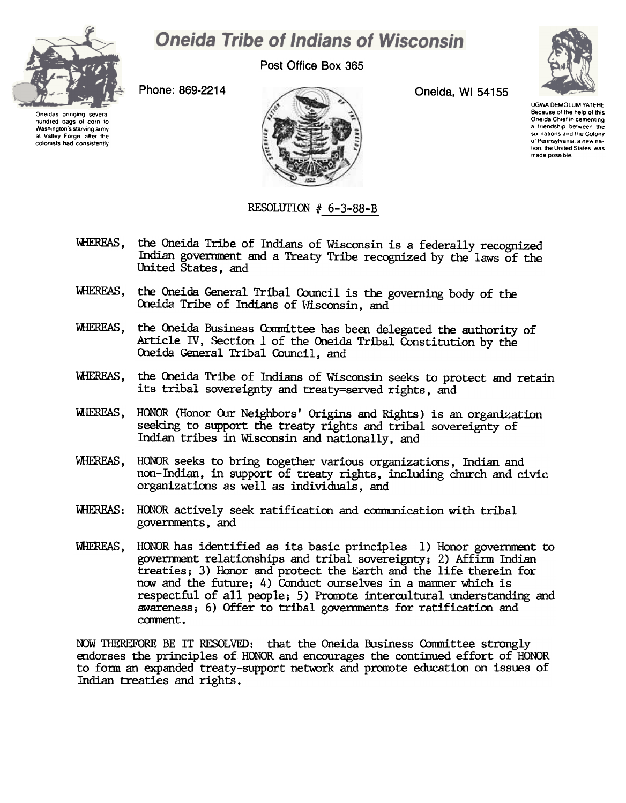

## **Oneida Tribe of Indians of Wisconsin**

Post Office Box 365



Oneidas bringing several hundred bags 01 corn to Washington's starving army at Valley Forge, after the colonists had consistently Phone: 869-2214 Oneida, WI 54155



UGWA DEMOLUM YATEHE Because of the help of this Oneida Chief in cementing a friendship between the six nations and the Colony of Pennsylvania. a new na. tion, the United States, was made possible

## RESOLUTION  $# 6-3-88-B$

- WHEREAS, the Oneida Tribe of Indians of Wisconsin is a federally recognized Indian government and a Treaty Tribe recognized by the laws of the United States, and
- WHEREAS, the Oneida General Tribal Council is the governing body of the Oneida Tribe of Indians of Wisconsin, and
- WHEREAS, the Oneida Business Committee has been delegated the authority of Article IV, Section 1 of the Oneida Tribal Constitution by the Oneida General Tribal Council, and
- WHEREAS, the Oneida Tribe of Indians of Wisconsin seeks to protect and retain its tribal sovereignty and treaty=served rights, and
- WHEREAS, HONOR (Honor Our Neighbors' Origins and Rights) is an organization seeking to support the treaty rights and tribal sovereignty of Indian tribes in Wisconsin and nationally, and
- WHEREAS, HONOR seeks to bring together various organizations, Indian and non-Indian, in support of treaty rights, including church and civic organizations as well as individuals, and
- WHEREAS: HONOR actively seek ratification and communication with tribal governnents, and
- WHEREAS, HONOR has identified as its basic principles 1) Honor goverrment to government relationships and tribal sovereignty; 2) Affirm Indian treaties; 3) Honor and protect the Earth and the life therein for now and the future; 4) Conduct ourselves in a manner which is respectful of all people; 5) Promote intercultural understanding and awareness; 6) Offer to tribal goverrments for ratification and ccmnent .

NOW THEREFORE BE IT RESOLVED: that the Oneida Business Committee strongly endorses the principles of HONOR and encourages the continued effort of HONOR to form an expanded treaty-support network and promote education on issues of Indian treaties and rights.